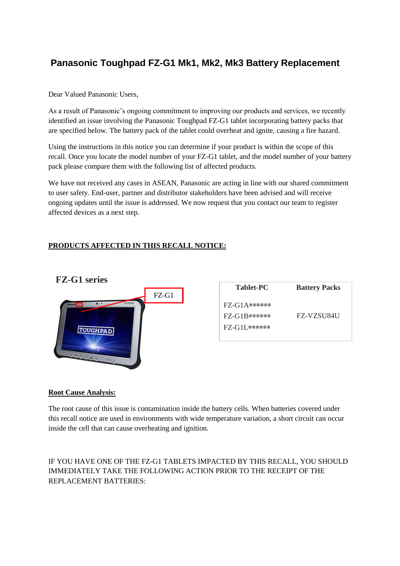# **Panasonic Toughpad FZ-G1 Mk1, Mk2, Mk3 Battery Replacement**

Dear Valued Panasonic Users,

As a result of Panasonic's ongoing commitment to improving our products and services, we recently identified an issue involving the Panasonic Toughpad FZ-G1 tablet incorporating battery packs that are specified below. The battery pack of the tablet could overheat and ignite, causing a fire hazard.

Using the instructions in this notice you can determine if your product is within the scope of this recall. Once you locate the model number of your FZ-G1 tablet, and the model number of your battery pack please compare them with the following list of affected products.

We have not received any cases in ASEAN, Panasonic are acting in line with our shared commitment to user safety. End-user, partner and distributor stakeholders have been advised and will receive ongoing updates until the issue is addressed. We now request that you contact our team to register affected devices as a next step.

# **PRODUCTS AFFECTED IN THIS RECALL NOTICE:**



### **Root Cause Analysis:**

The root cause of this issue is contamination inside the battery cells. When batteries covered under this recall notice are used in environments with wide temperature variation, a short circuit can occur inside the cell that can cause overheating and ignition.

IF YOU HAVE ONE OF THE FZ-G1 TABLETS IMPACTED BY THIS RECALL, YOU SHOULD IMMEDIATELY TAKE THE FOLLOWING ACTION PRIOR TO THE RECEIPT OF THE REPLACEMENT BATTERIES: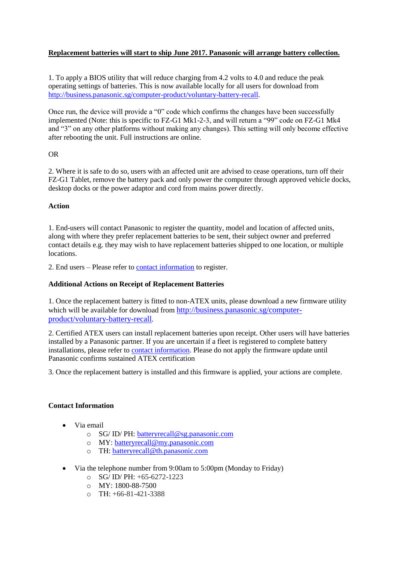# **Replacement batteries will start to ship June 2017. Panasonic will arrange battery collection.**

1. To apply a BIOS utility that will reduce charging from 4.2 volts to 4.0 and reduce the peak operating settings of batteries. This is now available locally for all users for download from [http://business.panasonic.sg/computer-product/voluntary-battery-recall.](http://business.panasonic.sg/computer-product/voluntary-battery-recall)

Once run, the device will provide a "0" code which confirms the changes have been successfully implemented (Note: this is specific to FZ-G1 Mk1-2-3, and will return a "99" code on FZ-G1 Mk4 and "3" on any other platforms without making any changes). This setting will only become effective after rebooting the unit. Full instructions are online.

### OR

2. Where it is safe to do so, users with an affected unit are advised to cease operations, turn off their FZ-G1 Tablet, remove the battery pack and only power the computer through approved vehicle docks, desktop docks or the power adaptor and cord from mains power directly.

### **Action**

1. End-users will contact Panasonic to register the quantity, model and location of affected units, along with where they prefer replacement batteries to be sent, their subject owner and preferred contact details e.g. they may wish to have replacement batteries shipped to one location, or multiple locations.

2. End users – Please refer to **contact [information](#page-1-0)** to register.

### **Additional Actions on Receipt of Replacement Batteries**

1. Once the replacement battery is fitted to non-ATEX units, please download a new firmware utility which will be available for download from [http://business.panasonic.sg/computer](http://business.panasonic.sg/computer-product/voluntary-battery-recall)[product/voluntary-battery-recall](http://business.panasonic.sg/computer-product/voluntary-battery-recall).

2. Certified ATEX users can install replacement batteries upon receipt. Other users will have batteries installed by a Panasonic partner. If you are uncertain if a fleet is registered to complete battery installations, please refer to contact [information.](#page-1-0) Please do not apply the firmware update until Panasonic confirms sustained ATEX certification

3. Once the replacement battery is installed and this firmware is applied, your actions are complete.

### <span id="page-1-0"></span>**Contact Information**

- Via email
	- o SG/ ID/ PH: [batteryrecall@sg.panasonic.com](mailto:batteryrecall@sg.panasonic.com)
	- o MY: [batteryrecall@my.panasonic.com](mailto:batteryrecall@my.panasonic.com)
	- o TH: [batteryrecall@th.panasonic.com](mailto:batteryrecall@th.panasonic.com)
- Via the telephone number from 9:00am to 5:00pm (Monday to Friday)
	- $\overline{SG}$  ID/ PH: +65-6272-1223
	- $\circ$  MY: 1800-88-7500
	- $O$  TH:  $+66-81-421-3388$